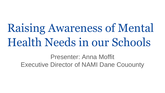Raising Awareness of Mental Health Needs in our Schools

Presenter: Anna Moffit Executive Director of NAMI Dane Couounty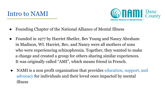

- Founding Chapter of the National Alliance of Mental Illness
- Founded in 1977 by Harriet Shetler, Bev Young and Nancy Abraham in Madison, WI. Harriet, Bev, and Nancy were all mothers of sons who were experiencing schizophrenia. Together, they wanted to make a change and created a group for others sharing similar experiences. It was originally called "AMI", which means friend in French.
- NAMI is a non profit organization that provides education, support, and advocacy for individuals and their loved ones impacted by mental illness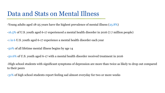### Data and Stats on Mental Illness

-Young adults aged 18-25 years have the highest prevalence of mental illness (25.8%)

[-16.5%](https://jamanetwork.com/journals/jamapediatrics/fullarticle/2724377?guestAccessKey=f689aa19-31f1-481d-878a-6bf83844536a) of U.S. youth aged 6-17 experienced a mental health disorder in 2016 (7.7 million people)

[-1 in 6](https://jamanetwork.com/journals/jamapediatrics/fullarticle/2724377?guestAccessKey=f689aa19-31f1-481d-878a-6bf83844536a) U.S. youth aged 6-17 experience a mental health disorder each year

[-50%](https://www.ncbi.nlm.nih.gov/pubmed/15939837) of all lifetime mental illness begins by age 14

[-50.6%](https://jamanetwork.com/journals/jamapediatrics/fullarticle/2724377?guestAccessKey=f689aa19-31f1-481d-878a-6bf83844536a) of U.S. youth aged 6-17 with a mental health disorder received treatment in 2016

-High school students with significant symptoms of depression are more than [twice as likely](https://www.ncbi.nlm.nih.gov/pubmed/29195763) to drop out compared to their peers

-31% of high school students report feeling sad almost everyday for two or more weeks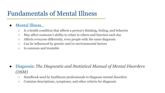# Fundamentals of Mental Illness

### ● Mental illness…

- Is a health condition that affects a person's thinking, feeling, and behavior
- May affect someone's ability to relate to others and function each day
- Affects everyone differently, even people with the same diagnosis
- Can be influenced by genetic and/or environmental factors
- Is common and treatable

- Diagnosis: *The Diagnostic and Statistical Manual of Mental Disorders (DSM)* 
	- Handbook used by healthcare professionals to diagnose mental disorders
	- Contains descriptions, symptoms, and other criteria for diagnosis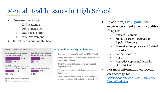# Mental Health Issues in High School

- Pressures teens face:
	- 61% academic
	- 29% appearance
	- 28% social status
	- 21% involvement
- Social media and mental health:



#### Social media and anxiety in adolescents

A study of more than 450 youth aged 11-17 found: Ninety-seven percent of participants indicated that they used social media.

Thirty-five percent of participants were classed as poor sleepers.

Forty-seven percent of participants were classed as anxious.

Higher emotional investment in social media was strongly correlated with higher levels of anxiety.<sup>45</sup>

- In addition, **1 in 6 youth** will experience a mental health condition this year:
	- Anxiety Disorders
	- Mood Disorders (Depression, Bipolar Disorder)
	- Obsessive-Compulsive and Related Disorders
	- Eating Disorders
	- PTSD
	- Neurodevelopmental Disorders (ADHD) & ASD)
- For more information on specific diagnoses go to:

[https://www.nami.org/Learn-More/Mental-](https://www.nami.org/Learn-More/Mental-Health-Conditions)Health-Conditions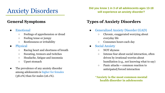# Anxiety Disorders

### **General Symptoms**

- Emotional
	- Feelings of apprehension or dread
	- Feeling tense or jumpy
	- Restlessness or irritability
- Physical
	- Racing heart and shortness of breath
	- Sweating, tremors and twitches
	- Headache, fatigue and insomnia
	- Upset stomach
- The prevalence of any anxiety disorder among adolescents is higher for females (38.0%) than for males (26.1%).

**Did you know 1 in 3 of all adolescents ages 13-18 will experience an anxiety disorder?**

### **Types of Anxiety Disorders**

- Generalized Anxiety Disorder (GAD)
	- Chronic, exaggerated worrying about everyday life
	- Consumes hours each day
- **Social Anxiety** 
	- NOT shyness
	- Intense fear about social interaction, often driven by irrational worries about humiliation (e.g., not knowing what to say)
	- $\circ$  Panic attacks = common reaction to anticipated/forced interaction
	- **\*Anxiety is the most common mental health disorder in adolescents**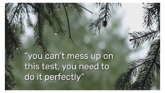"you can't mess up on this test, you need to do it perfectly"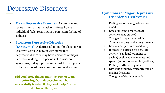### Depressive Disorders

- **Major Depressive Disorder**: A common and serious illness that negatively affects how an individual feels, resulting in a persistent feeling of sadness.
- **Persistent Depressive Disorder (Dysthymia):** A depressed mood that lasts for at least two years. A person with persistent depressive disorder may have episodes of major depression along with periods of less severe symptoms, but symptoms must last for two years to be considered persistent depressive disorder.

**Did you know that as many as 80% of teens suffering from depression can be successfully treated if they seek help from a doctor or therapist?**

#### **Symptoms of Major Depressive Disorder & Dysthymia:**

- Feeling sad or having a depressed mood
- Loss of interest or pleasure in activities once enjoyed
- Changes in appetite or weight
- Trouble sleeping or sleeping too much
- Loss of energy or increased fatigue
- Increase in purposeless physical activity (e.g., hand-wringing or pacing) or slowed movements and speech (actions observable by others)
- Feeling worthless or guilty
- Difficulty thinking, concentrating or making decisions
- Thoughts of death or suicide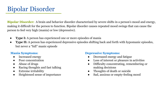**Bipolar Disorder:** A brain and behavior disorder characterized by severe shifts in a person's mood and energy, making it difficult for the person to function. Bipolar disorder causes repeated mood swings that can cause the person to feel very high (mania) or low (depressive).

- **Type I:** A person has experienced one or more episodes of mania
- **Type II:** A person has experienced depressive episodes shifting back and forth with hypomanic episodes, but never a "full" manic episode

#### **Mania Symptoms:**

- Increased energy
- Poor concentration
- Abuse of drugs
- Racing thoughts and fast talking
- Extreme irritability
- Heightened sense of importance

#### **Depressive Symptoms:**

- Decreased energy and fatigue
- Loss of interest or pleasure in activities
- Difficulty concentrating, remembering or making decisions
- Thoughts of death or suicide
- Sad, anxious or empty-feeling mood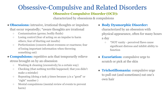## Obsessive-Compulsive and Related Disorders

### **Obsessive-Compulsive Disorder (OCD):**

characterized by obsessions & compulsions

● **Obsessions:** intrusive, irrational thoughts or impulses

that occur repeatedly; \*aware thoughts are irrational

- Contamination (germs; bodily fluids)
- Losing control (fear of acting on an impulse to harm others; fear of blurting out insults)
- Perfectionism (concern about evenness or exactness; fear of losing important information when throwing something out)
- **Compulsions:** repetitive acts that temporarily relieve stress brought on by an obsession
	- Washing & cleaning (excessively/in a certain way)
	- Checking (that nothing terrible happened; that you didn't make a mistake)
	- Repeating (doing a task 3 times because 3 is a "good" or "right" number )
	- Mental compulsions (mental review of events to prevent harm)

● **Body Dysmorphic Disorder:**

characterized by an obsession with physical appearance, often for many hours a day

- \*NOT vanity perceived flaws cause significant distress and inhibit ability to function
- **Excoriation:** compulsive urge to scratch or pick at the skin
- **Trichotillomania:** compulsive urge to pull out (and sometimes) eat one's own hair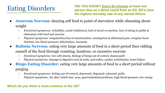# Eating Disorders

**DID YOU KNOW? Every 62 minutes at least one person dies as a direct result from an ED. ED's have the highest mortality rate of any mental illness.**

- **Anorexia Nervosa:** denying self food to point of starvation while obsessing about weight
	- *Emotional symptoms:* irritability, social withdrawal, lack of mood or emotion, fear of eating in public & obsessions with food and exercise
	- *Physical symptoms:* irregularities/loss of menstruation, constipation & abdominal pain, irregular heart rhythms, low blood pressure, dehydration, insomnia
- **Bulimia Nervosa:** eating very large amounts of food in a short period then ridding oneself of the food through vomiting, laxatives, or excessive exercise
	- *Emotional symptoms:* low self-esteem, feelings of being out of control, shame/guilt
	- *Physical symptoms:* damage to digestive tract & teeth, acid reflux, cardiac arrhythmias, heart failure
- **Binge-Eating Disorder:** eating very large amounts of food in a short period without purging
	- *Emotional symptoms:* feeling out-of-control, depressed, disgusted, ashamed, guilty
	- *Physical symptoms:* dry skin, brittle hair, acne, gastrointestinal problems, high blood pressure, low energy

### **Which do you think is most common in the US?**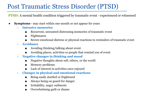## Post Traumatic Stress Disorder (PTSD)

**PTSD:** A mental health condition triggered by traumatic event - experienced or witnessed

- **Symptoms** may start within one month or not appear for years
	- **Intrusive memories**
		- Recurrent, unwanted distressing memories of traumatic event
		- Nightmares
		- Severe emotional distress or physical reactions to reminders of traumatic event
	- **Avoidance**
		- Avoiding thinking/talking about event
		- Avoiding places, activities or people that remind you of event
	- **Negative changes in thinking and mood**
		- Negative thoughts about self, others, or the world
		- Memory problems
		- Lack of interest in activities once enjoyed
	- **Changes in physical and emotional reactions**
		- Being easily startled or frightened
		- Always being on guard for danger
		- Irritability, angry outbursts
		- Overwhelming guilt or shame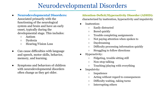## Neurodevelopmental Disorders

● **Neurodevelopmental Disorders:** 

Associated primarily with the functioning of the neurological system and brain and have an early onset, typically during the developmental stage. This includes:

- Autism
- Dyslexia
- Hearing/Vision Loss
- Can cause difficulties with language and speech, motor skills, behavior, memory, and learning.
- Symptoms and behaviors of children with neurodevelopmental disorders often change as they get older.

#### **Attention-Deficit/Hyperactivity Disorder (ADHD):** characterized by inattention, hyperactivity and impulsivity

- Inattention:
	- Easily distracted
	- Bored quickly
	- Trouble completing assignments
	- Not paying attention when spoken to
	- Daydreaming
	- Difficulty processing information quickly
	- Struggling to follow directions
- Hyperactivity:
	- Fidgeting, trouble sitting still
	- Non-stop talking
	- Touching/playing with everything
- Impulsivity:
	- Impatience
	- Acting without regard to consequences
	- Difficulty waiting, taking turns
	- Interrupting others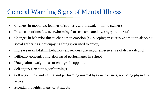# General Warning Signs of Mental Illness

- Changes in mood (ex. feelings of sadness, withdrawal, or mood swings)
- Intense emotions (ex. overwhelming fear, extreme anxiety, angry outbursts)
- Changes in behavior due to changes in emotion (ex. sleeping an excessive amount, skipping social gatherings, not enjoying things you used to enjoy)
- Increase in risk-taking behavior (ex. reckless driving or excessive use of drugs/alcohol)
- Difficulty concentrating, decreased performance in school
- Unexplained weight loss or changes in appetite
- Self-injury (ex: cutting or burning)
- Self neglect (ex: not eating, not performing normal hygiene routines, not being physically active)
- Suicidal thoughts, plans, or attempts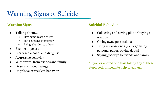# Warning Signs of Suicide

#### **Warning Signs**

- Talking about...
	- Having no reason to live
	- Not being here tomorrow
	- Being a burden to others
- **Feeling hopeless**
- Increased alcohol and drug use
- Aggressive behavior
- Withdrawal from friends and family
- Dramatic mood swings
- Impulsive or reckless behavior

#### **Suicidal Behavior**

- Collecting and saving pills or buying a weapon
- Giving away possessions
- Tying up loose ends (ex: organizing personal paper, paying debts)
- Saying goodbye to friends and family

\*If you or a loved one start taking any of these steps, seek immediate help or call 911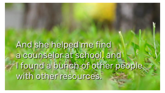And she helped me find a counselor at school, and I found a bunch of other people with other resources.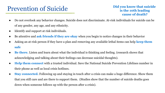## Prevention of Suicide

#### **Did you know that suicide is the 10th leading cause of death?**

- Do not overlook any behavior changes. Suicide does not discriminate. At-risk individuals for suicide can be of any gender, any age, and any ethnicity.
- Identify and support at risk individuals.
- Be attentive and **ask friends if they are okay** when you begin to notice changes in their behavior
- Asking an at-risk person if they have a plan and removing any available lethal items can help **keep them safe**
- **Be there.** Listen and learn about what the individual is thinking and feeling. (research shows that acknowledging and talking about their feelings can decrease suicidal thoughts).
- **Help them connect** with a trusted individual. Save the National Suicide Prevention Lifelines number in their phone as well as local crisis hotlines.
- **Stay connected.** Following up and staying in touch after a crisis can make a huge difference. Show them that you still care and are there to support them. (Studies show that the number of suicide deaths goes down when someone follows up with the person after a crisis).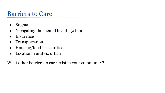### Barriers to Care

- Stigma
- Navigating the mental health system
- **Insurance**
- Transportation
- Housing/food insecurities
- Location (rural vs. urban)

What other barriers to care exist in your community?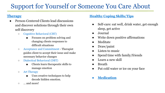# Support for Yourself or Someone You Care About

### **Therapy**

- Person-Centered Clients lead discussions and discover solutions through their own self discovery
	- Cognitive Behavioral (CBT)
		- Focuses on problem solving and changing clients responses to difficult situations
	- Acceptance and Commitment Therapist guides client to accept their issue and make necessary behavior changes
	- Dialectical Behavioral (DBT)
		- Clients learn therapeutic skills to manage emotion
	- Art Therapy
		- Uses creative techniques to help decode hidden emotion.
	- … and more!

#### **Healthy Coping Skills/Tips**

- Self-care: eat well, drink water, get enough sleep, get active
- Journal
- Write down positive affirmations
- Meditate
- Draw/paint
- Listen to music
- Spend time with family/friends
- Learn a new skill
- Breath
- Put cold water or ice on your face
- **Medication**